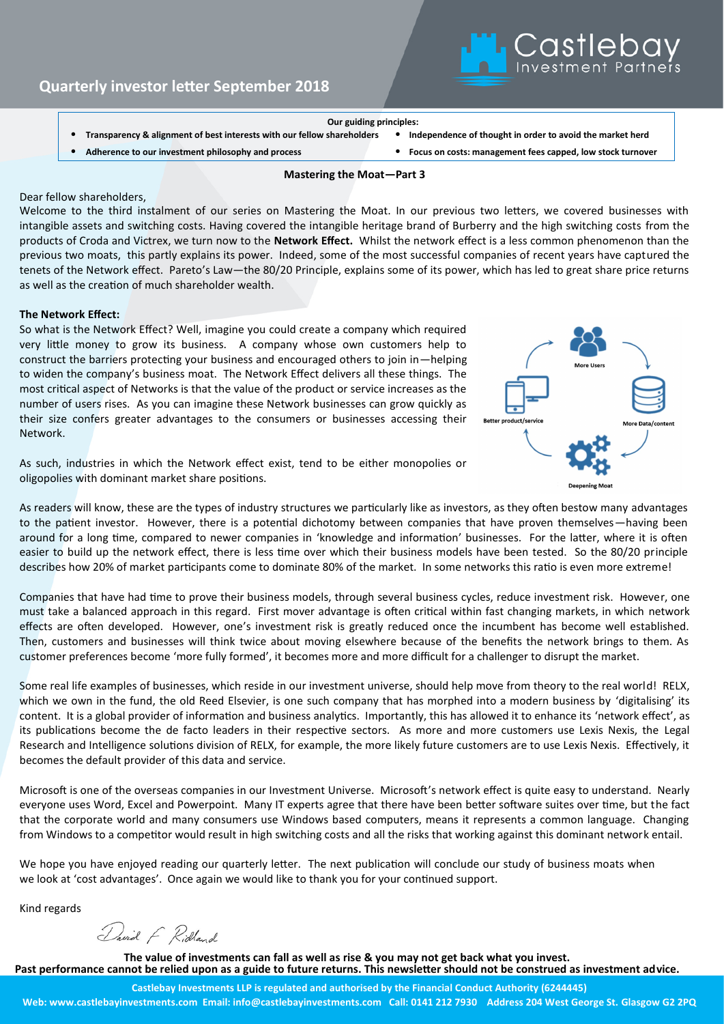## **Our guiding principles:**

- **Transparency & alignment of best interests with our fellow shareholders** • **Independence of thought in order to avoid the market herd**
- 

**Quarterly investor letter September 2018**

- 
- **Adherence to our investment philosophy and process** • **Focus on costs: management fees capped, low stock turnover**

### **Mastering the Moat—Part 3**

#### Dear fellow shareholders,

Welcome to the third instalment of our series on Mastering the Moat. In our previous two letters, we covered businesses with intangible assets and switching costs. Having covered the intangible heritage brand of Burberry and the high switching costs from the products of Croda and Victrex, we turn now to the **Network Effect.** Whilst the network effect is a less common phenomenon than the previous two moats, this partly explains its power. Indeed, some of the most successful companies of recent years have captured the tenets of the Network effect. Pareto's Law—the 80/20 Principle, explains some of its power, which has led to great share price returns as well as the creation of much shareholder wealth.

## **The Network Effect:**

So what is the Network Effect? Well, imagine you could create a company which required very little money to grow its business. A company whose own customers help to construct the barriers protecting your business and encouraged others to join in—helping to widen the company's business moat. The Network Effect delivers all these things. The most critical aspect of Networks is that the value of the product or service increases as the number of users rises. As you can imagine these Network businesses can grow quickly as their size confers greater advantages to the consumers or businesses accessing their Network.

As such, industries in which the Network effect exist, tend to be either monopolies or oligopolies with dominant market share positions.



Castleba<sup>'</sup>

As readers will know, these are the types of industry structures we particularly like as investors, as they often bestow many advantages to the patient investor. However, there is a potential dichotomy between companies that have proven themselves—having been around for a long time, compared to newer companies in 'knowledge and information' businesses. For the latter, where it is often easier to build up the network effect, there is less time over which their business models have been tested. So the 80/20 principle describes how 20% of market participants come to dominate 80% of the market. In some networks this ratio is even more extreme!

Companies that have had time to prove their business models, through several business cycles, reduce investment risk. However, one must take a balanced approach in this regard. First mover advantage is often critical within fast changing markets, in which network effects are often developed. However, one's investment risk is greatly reduced once the incumbent has become well established. Then, customers and businesses will think twice about moving elsewhere because of the benefits the network brings to them. As customer preferences become 'more fully formed', it becomes more and more difficult for a challenger to disrupt the market.

Some real life examples of businesses, which reside in our investment universe, should help move from theory to the real world! RELX, which we own in the fund, the old Reed Elsevier, is one such company that has morphed into a modern business by 'digitalising' its content. It is a global provider of information and business analytics. Importantly, this has allowed it to enhance its 'network effect', as its publications become the de facto leaders in their respective sectors. As more and more customers use Lexis Nexis, the Legal Research and Intelligence solutions division of RELX, for example, the more likely future customers are to use Lexis Nexis. Effectively, it becomes the default provider of this data and service.

Microsoft is one of the overseas companies in our Investment Universe. Microsoft's network effect is quite easy to understand. Nearly everyone uses Word, Excel and Powerpoint. Many IT experts agree that there have been better software suites over time, but the fact that the corporate world and many consumers use Windows based computers, means it represents a common language. Changing from Windows to a competitor would result in high switching costs and all the risks that working against this dominant network entail.

We hope you have enjoyed reading our quarterly letter. The next publication will conclude our study of business moats when we look at 'cost advantages'. Once again we would like to thank you for your continued support.

Kind regards

David F Ridland

**The value of investments can fall as well as rise & you may not get back what you invest. Past performance cannot be relied upon as a guide to future returns. This newsletter should not be construed as investment advice.**